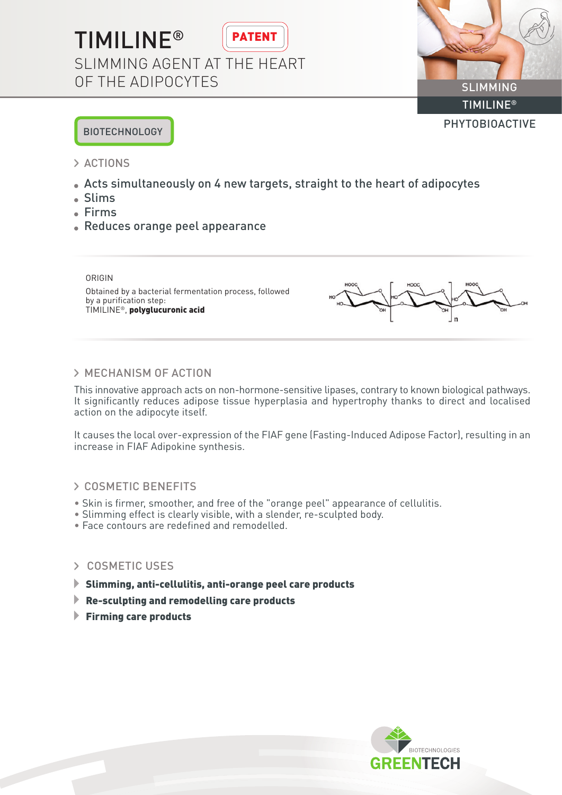# TIMILINE®



SLIMMING AGENT AT THE HEART OF THE ADIPOCYTES SLIMMING

TIMILINE® PHYTOBIOACTIVE

# **BIOTECHNOLOGY**

- $\geq$  ACTIONS
- Acts simultaneously on 4 new targets, straight to the heart of adipocytes
- Slims
- Firms
- Reduces orange peel appearance

### ORIGIN

Obtained by a bacterial fermentation process, followed by a purification step: TIMILINE®, polyglucuronic acid



# > MECHANISM OF ACTION

This innovative approach acts on non-hormone-sensitive lipases, contrary to known biological pathways. It significantly reduces adipose tissue hyperplasia and hypertrophy thanks to direct and localised action on the adipocyte itself.

It causes the local over-expression of the FIAF gene (Fasting-Induced Adipose Factor), resulting in an increase in FIAF Adipokine synthesis.

# COSMETIC BENEFITS

- Skin is firmer, smoother, and free of the "orange peel" appearance of cellulitis.
- Slimming effect is clearly visible, with a slender, re-sculpted body.
- Face contours are redefined and remodelled.

# COSMETIC USES

- $\blacktriangleright$  Slimming, anti-cellulitis, anti-orange peel care products
- Re-sculpting and remodelling care products
- $\blacktriangleright$  Firming care products

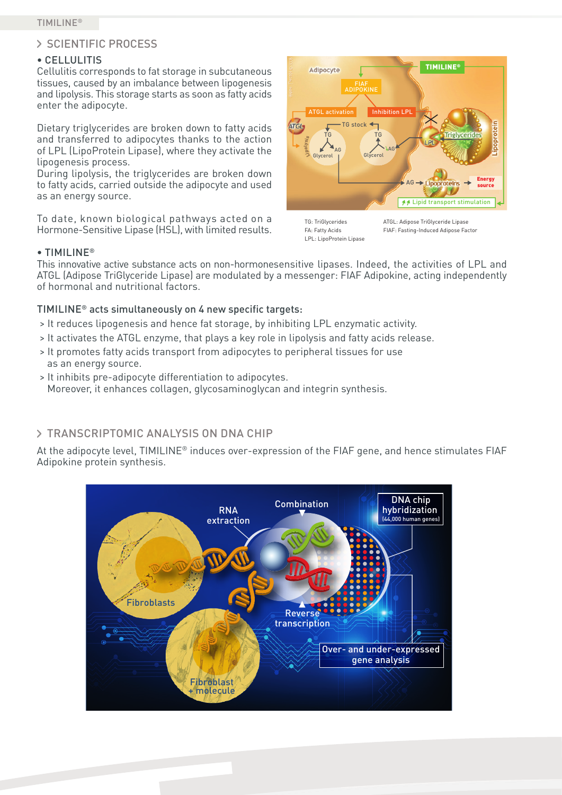#### TIMILINE®

# > SCIENTIFIC PROCESS

# • CELLULITIS

Cellulitis corresponds to fat storage in subcutaneous tissues, caused by an imbalance between lipogenesis and lipolysis. This storage starts as soon as fatty acids enter the adipocyte.

Dietary triglycerides are broken down to fatty acids and transferred to adipocytes thanks to the action of LPL (LipoProtein Lipase), where they activate the lipogenesis process.

During lipolysis, the triglycerides are broken down to fatty acids, carried outside the adipocyte and used as an energy source.

To date, known biological pathways acted on a Hormone-Sensitive Lipase (HSL), with limited results.





ATGL: Adipose TriGlyceride Lipase FIAF: Fasting-Induced Adipose Factor

# • TIMILINE®

This innovative active substance acts on non-hormonesensitive lipases. Indeed, the activities of LPL and ATGL (Adipose TriGlyceride Lipase) are modulated by a messenger: FIAF Adipokine, acting independently of hormonal and nutritional factors.

# TIMILINE® acts simultaneously on 4 new specific targets:

- > It reduces lipogenesis and hence fat storage, by inhibiting LPL enzymatic activity.
- > It activates the ATGL enzyme, that plays a key role in lipolysis and fatty acids release.
- > It promotes fatty acids transport from adipocytes to peripheral tissues for use as an energy source.
- > It inhibits pre-adipocyte differentiation to adipocytes. Moreover, it enhances collagen, glycosaminoglycan and integrin synthesis.

# TRANSCRIPTOMIC ANALYSIS ON DNA CHIP

At the adipocyte level, TIMILINE® induces over-expression of the FIAF gene, and hence stimulates FIAF Adipokine protein synthesis.

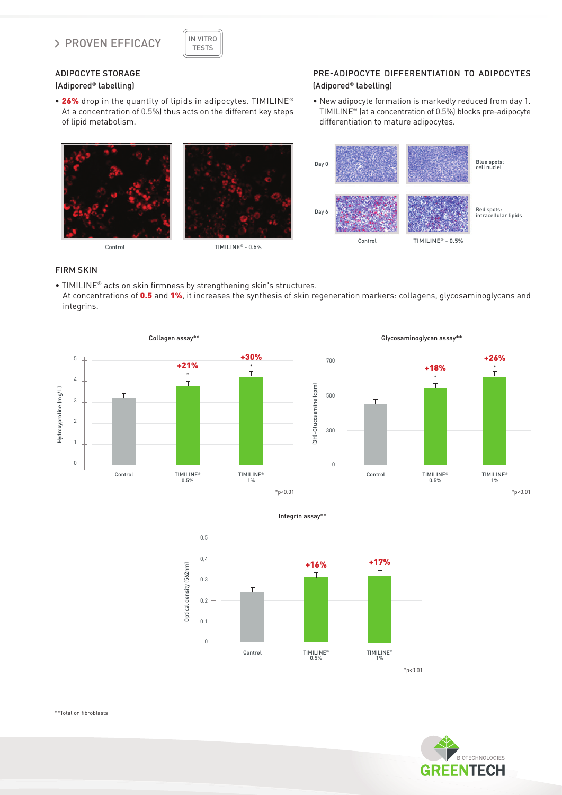

# ADIPOCYTE STORAGE

### (Adipored® labelling)

• 26% drop in the quantity of lipids in adipocytes. TIMILINE® At a concentration of 0.5%) thus acts on the different key steps of lipid metabolism.

# PRE-ADIPOCYTE DIFFERENTIATION TO ADIPOCYTES (Adipored® labelling)

• New adipocyte formation is markedly reduced from day 1. TIMILINE® (at a concentration of 0.5%) blocks pre-adipocyte differentiation to mature adipocytes.



#### FIRM SKIN

• TIMILINE® acts on skin firmness by strengthening skin's structures.

 At concentrations of 0.5 and 1%, it increases the synthesis of skin regeneration markers: collagens, glycosaminoglycans and integrins.







\*\*Total on fibroblasts